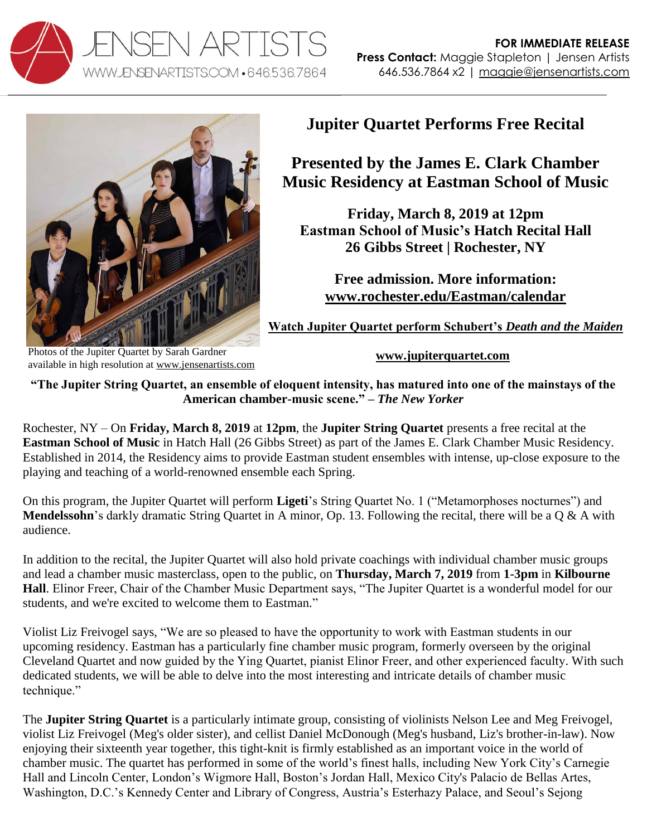



**Jupiter Quartet Performs Free Recital**

**Presented by the James E. Clark Chamber Music Residency at Eastman School of Music**

**Friday, March 8, 2019 at 12pm Eastman School of Music's Hatch Recital Hall 26 Gibbs Street | Rochester, NY** 

**Free admission. More information: [www.rochester.edu/Eastman/calendar](http://www.rochester.edu/Eastman/calendar/?event&id=1226921&from=08March2019&to=08March2019)**

**[Watch Jupiter Quartet perform Schubert's](https://vimeo.com/112745254)** *Death and the Maiden*

Photos of the Jupiter Quartet by Sarah Gardner available in high resolution at [www.jensenartists.com](https://www.jensenartists.com/jupiter-string-quartet)

**[www.jupiterquartet.com](http://www.jupiterquartet.com/)**

**"The Jupiter String Quartet, an ensemble of eloquent intensity, has matured into one of the mainstays of the American chamber-music scene." –** *The New Yorker*

Rochester, NY – On **Friday, March 8, 2019** at **12pm**, the **Jupiter String Quartet** presents a free recital at the **Eastman School of Music** in Hatch Hall (26 Gibbs Street) as part of the James E. Clark Chamber Music Residency. Established in 2014, the Residency aims to provide Eastman student ensembles with intense, up-close exposure to the playing and teaching of a world-renowned ensemble each Spring.

On this program, the Jupiter Quartet will perform **Ligeti**'s String Quartet No. 1 ("Metamorphoses nocturnes") and **Mendelssohn**'s darkly dramatic String Quartet in A minor, Op. 13. Following the recital, there will be a Q & A with audience.

In addition to the recital, the Jupiter Quartet will also hold private coachings with individual chamber music groups and lead a chamber music masterclass, open to the public, on **Thursday, March 7, 2019** from **1-3pm** in **Kilbourne Hall**. Elinor Freer, Chair of the Chamber Music Department says, "The Jupiter Quartet is a wonderful model for our students, and we're excited to welcome them to Eastman."

Violist Liz Freivogel says, "We are so pleased to have the opportunity to work with Eastman students in our upcoming residency. Eastman has a particularly fine chamber music program, formerly overseen by the original Cleveland Quartet and now guided by the Ying Quartet, pianist Elinor Freer, and other experienced faculty. With such dedicated students, we will be able to delve into the most interesting and intricate details of chamber music technique."

The **Jupiter String Quartet** is a particularly intimate group, consisting of violinists Nelson Lee and Meg Freivogel, violist Liz Freivogel (Meg's older sister), and cellist Daniel McDonough (Meg's husband, Liz's brother-in-law). Now enjoying their sixteenth year together, this tight-knit is firmly established as an important voice in the world of chamber music. The quartet has performed in some of the world's finest halls, including New York City's Carnegie Hall and Lincoln Center, London's Wigmore Hall, Boston's Jordan Hall, Mexico City's Palacio de Bellas Artes, Washington, D.C.'s Kennedy Center and Library of Congress, Austria's Esterhazy Palace, and Seoul's Sejong